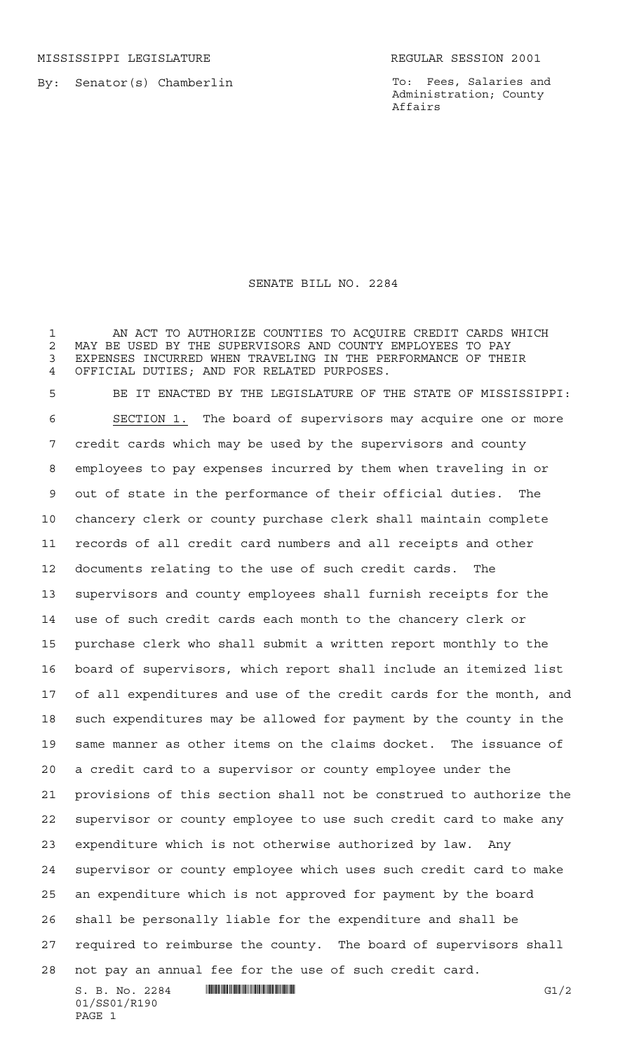MISSISSIPPI LEGISLATURE **REGULAR SESSION 2001** 

By: Senator(s) Chamberlin

To: Fees, Salaries and Administration; County Affairs

## SENATE BILL NO. 2284

AN ACT TO AUTHORIZE COUNTIES TO ACQUIRE CREDIT CARDS WHICH

 $S. B. No. 2284$  . THE SUBSECTION SET OF SECTION CONTINUES. 2 MAY BE USED BY THE SUPERVISORS AND COUNTY EMPLOYEES TO PAY<br>3 EXPENSES INCURRED WHEN TRAVELING IN THE PERFORMANCE OF THE EXPENSES INCURRED WHEN TRAVELING IN THE PERFORMANCE OF THEIR OFFICIAL DUTIES; AND FOR RELATED PURPOSES. BE IT ENACTED BY THE LEGISLATURE OF THE STATE OF MISSISSIPPI: SECTION 1. The board of supervisors may acquire one or more credit cards which may be used by the supervisors and county employees to pay expenses incurred by them when traveling in or out of state in the performance of their official duties. The chancery clerk or county purchase clerk shall maintain complete records of all credit card numbers and all receipts and other documents relating to the use of such credit cards. The supervisors and county employees shall furnish receipts for the use of such credit cards each month to the chancery clerk or purchase clerk who shall submit a written report monthly to the board of supervisors, which report shall include an itemized list of all expenditures and use of the credit cards for the month, and such expenditures may be allowed for payment by the county in the same manner as other items on the claims docket. The issuance of a credit card to a supervisor or county employee under the provisions of this section shall not be construed to authorize the supervisor or county employee to use such credit card to make any expenditure which is not otherwise authorized by law. Any supervisor or county employee which uses such credit card to make an expenditure which is not approved for payment by the board shall be personally liable for the expenditure and shall be required to reimburse the county. The board of supervisors shall not pay an annual fee for the use of such credit card.

01/SS01/R190 PAGE 1